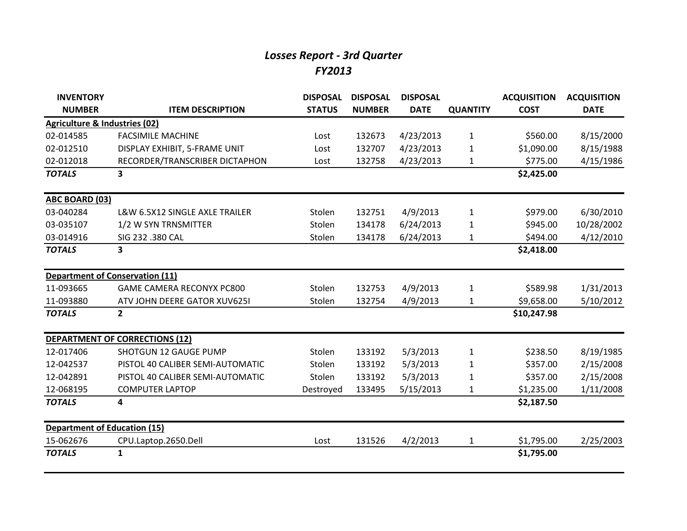## *Losses Report - 3rd Quarter FY2013*

| <b>INVENTORY</b>                         |                                       | <b>DISPOSAL</b> | <b>DISPOSAL</b> | <b>DISPOSAL</b> |                 | <b>ACQUISITION</b> | <b>ACQUISITION</b> |
|------------------------------------------|---------------------------------------|-----------------|-----------------|-----------------|-----------------|--------------------|--------------------|
| <b>NUMBER</b>                            | <b>ITEM DESCRIPTION</b>               | <b>STATUS</b>   | <b>NUMBER</b>   | <b>DATE</b>     | <b>QUANTITY</b> | <b>COST</b>        | <b>DATE</b>        |
| <b>Agriculture &amp; Industries (02)</b> |                                       |                 |                 |                 |                 |                    |                    |
| 02-014585                                | <b>FACSIMILE MACHINE</b>              | Lost            | 132673          | 4/23/2013       | $\mathbf{1}$    | \$560.00           | 8/15/2000          |
| 02-012510                                | DISPLAY EXHIBIT, 5-FRAME UNIT         | Lost            | 132707          | 4/23/2013       | 1               | \$1,090.00         | 8/15/1988          |
| 02-012018                                | RECORDER/TRANSCRIBER DICTAPHON        | Lost            | 132758          | 4/23/2013       | $\mathbf{1}$    | \$775.00           | 4/15/1986          |
| <b>TOTALS</b>                            | 3                                     |                 |                 |                 |                 | \$2,425.00         |                    |
| ABC BOARD (03)                           |                                       |                 |                 |                 |                 |                    |                    |
| 03-040284                                | L&W 6.5X12 SINGLE AXLE TRAILER        | Stolen          | 132751          | 4/9/2013        | $\mathbf{1}$    | \$979.00           | 6/30/2010          |
| 03-035107                                | 1/2 W SYN TRNSMITTER                  | Stolen          | 134178          | 6/24/2013       | 1               | \$945.00           | 10/28/2002         |
| 03-014916                                | SIG 232 .380 CAL                      | Stolen          | 134178          | 6/24/2013       | 1               | \$494.00           | 4/12/2010          |
| <b>TOTALS</b>                            | 3                                     |                 |                 |                 |                 | \$2,418.00         |                    |
| <b>Department of Conservation (11)</b>   |                                       |                 |                 |                 |                 |                    |                    |
| 11-093665                                | <b>GAME CAMERA RECONYX PC800</b>      | Stolen          | 132753          | 4/9/2013        | $\mathbf{1}$    | \$589.98           | 1/31/2013          |
| 11-093880                                | ATV JOHN DEERE GATOR XUV625I          | Stolen          | 132754          | 4/9/2013        | $\mathbf{1}$    | \$9,658.00         | 5/10/2012          |
| <b>TOTALS</b>                            | $\overline{2}$                        |                 |                 |                 |                 | \$10,247.98        |                    |
|                                          | <b>DEPARTMENT OF CORRECTIONS (12)</b> |                 |                 |                 |                 |                    |                    |
| 12-017406                                | <b>SHOTGUN 12 GAUGE PUMP</b>          | Stolen          | 133192          | 5/3/2013        | $\mathbf{1}$    | \$238.50           | 8/19/1985          |
| 12-042537                                | PISTOL 40 CALIBER SEMI-AUTOMATIC      | Stolen          | 133192          | 5/3/2013        | 1               | \$357.00           | 2/15/2008          |
| 12-042891                                | PISTOL 40 CALIBER SEMI-AUTOMATIC      | Stolen          | 133192          | 5/3/2013        | 1               | \$357.00           | 2/15/2008          |
| 12-068195                                | <b>COMPUTER LAPTOP</b>                | Destroyed       | 133495          | 5/15/2013       | $\mathbf{1}$    | \$1,235.00         | 1/11/2008          |
| <b>TOTALS</b>                            | 4                                     |                 |                 |                 |                 | \$2,187.50         |                    |
| <b>Department of Education (15)</b>      |                                       |                 |                 |                 |                 |                    |                    |
| 15-062676                                | CPU.Laptop.2650.Dell                  | Lost            | 131526          | 4/2/2013        | $\mathbf{1}$    | \$1,795.00         | 2/25/2003          |
| <b>TOTALS</b>                            | $\mathbf{1}$                          |                 |                 |                 |                 | \$1,795.00         |                    |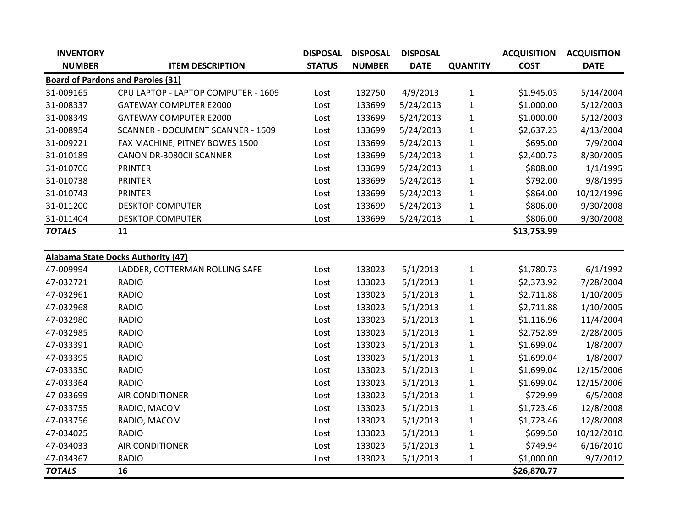| <b>INVENTORY</b> |                                           | <b>DISPOSAL</b> | <b>DISPOSAL</b> | <b>DISPOSAL</b> |                 | <b>ACQUISITION</b> | <b>ACQUISITION</b> |
|------------------|-------------------------------------------|-----------------|-----------------|-----------------|-----------------|--------------------|--------------------|
| <b>NUMBER</b>    | <b>ITEM DESCRIPTION</b>                   | <b>STATUS</b>   | <b>NUMBER</b>   | <b>DATE</b>     | <b>QUANTITY</b> | <b>COST</b>        | <b>DATE</b>        |
|                  | <b>Board of Pardons and Paroles (31)</b>  |                 |                 |                 |                 |                    |                    |
| 31-009165        | CPU LAPTOP - LAPTOP COMPUTER - 1609       | Lost            | 132750          | 4/9/2013        | $\mathbf{1}$    | \$1,945.03         | 5/14/2004          |
| 31-008337        | <b>GATEWAY COMPUTER E2000</b>             | Lost            | 133699          | 5/24/2013       | $\mathbf 1$     | \$1,000.00         | 5/12/2003          |
| 31-008349        | <b>GATEWAY COMPUTER E2000</b>             | Lost            | 133699          | 5/24/2013       | $\mathbf{1}$    | \$1,000.00         | 5/12/2003          |
| 31-008954        | <b>SCANNER - DOCUMENT SCANNER - 1609</b>  | Lost            | 133699          | 5/24/2013       | $\mathbf{1}$    | \$2,637.23         | 4/13/2004          |
| 31-009221        | FAX MACHINE, PITNEY BOWES 1500            | Lost            | 133699          | 5/24/2013       | $\mathbf{1}$    | \$695.00           | 7/9/2004           |
| 31-010189        | <b>CANON DR-3080CII SCANNER</b>           | Lost            | 133699          | 5/24/2013       | $\mathbf{1}$    | \$2,400.73         | 8/30/2005          |
| 31-010706        | <b>PRINTER</b>                            | Lost            | 133699          | 5/24/2013       | $\mathbf{1}$    | \$808.00           | 1/1/1995           |
| 31-010738        | <b>PRINTER</b>                            | Lost            | 133699          | 5/24/2013       | $\mathbf{1}$    | \$792.00           | 9/8/1995           |
| 31-010743        | <b>PRINTER</b>                            | Lost            | 133699          | 5/24/2013       | $\mathbf{1}$    | \$864.00           | 10/12/1996         |
| 31-011200        | <b>DESKTOP COMPUTER</b>                   | Lost            | 133699          | 5/24/2013       | $\mathbf{1}$    | \$806.00           | 9/30/2008          |
| 31-011404        | <b>DESKTOP COMPUTER</b>                   | Lost            | 133699          | 5/24/2013       | $\mathbf 1$     | \$806.00           | 9/30/2008          |
| <b>TOTALS</b>    | 11                                        |                 |                 |                 |                 | \$13,753.99        |                    |
|                  |                                           |                 |                 |                 |                 |                    |                    |
|                  | <b>Alabama State Docks Authority (47)</b> |                 |                 |                 |                 |                    |                    |
| 47-009994        | LADDER, COTTERMAN ROLLING SAFE            | Lost            | 133023          | 5/1/2013        | $\mathbf{1}$    | \$1,780.73         | 6/1/1992           |
| 47-032721        | <b>RADIO</b>                              | Lost            | 133023          | 5/1/2013        | $\mathbf 1$     | \$2,373.92         | 7/28/2004          |
| 47-032961        | <b>RADIO</b>                              | Lost            | 133023          | 5/1/2013        | $\mathbf{1}$    | \$2,711.88         | 1/10/2005          |
| 47-032968        | <b>RADIO</b>                              | Lost            | 133023          | 5/1/2013        | $\mathbf{1}$    | \$2,711.88         | 1/10/2005          |
| 47-032980        | <b>RADIO</b>                              | Lost            | 133023          | 5/1/2013        | $\mathbf{1}$    | \$1,116.96         | 11/4/2004          |
| 47-032985        | <b>RADIO</b>                              | Lost            | 133023          | 5/1/2013        | $\mathbf{1}$    | \$2,752.89         | 2/28/2005          |
| 47-033391        | <b>RADIO</b>                              | Lost            | 133023          | 5/1/2013        | $\mathbf{1}$    | \$1,699.04         | 1/8/2007           |
| 47-033395        | <b>RADIO</b>                              | Lost            | 133023          | 5/1/2013        | $\mathbf{1}$    | \$1,699.04         | 1/8/2007           |
| 47-033350        | <b>RADIO</b>                              | Lost            | 133023          | 5/1/2013        | $\mathbf{1}$    | \$1,699.04         | 12/15/2006         |
| 47-033364        | <b>RADIO</b>                              | Lost            | 133023          | 5/1/2013        | $\mathbf{1}$    | \$1,699.04         | 12/15/2006         |
| 47-033699        | <b>AIR CONDITIONER</b>                    | Lost            | 133023          | 5/1/2013        | $\mathbf 1$     | \$729.99           | 6/5/2008           |
| 47-033755        | RADIO, MACOM                              | Lost            | 133023          | 5/1/2013        | $\mathbf{1}$    | \$1,723.46         | 12/8/2008          |
| 47-033756        | RADIO, MACOM                              | Lost            | 133023          | 5/1/2013        | $\mathbf{1}$    | \$1,723.46         | 12/8/2008          |
| 47-034025        | <b>RADIO</b>                              | Lost            | 133023          | 5/1/2013        | $\mathbf{1}$    | \$699.50           | 10/12/2010         |
| 47-034033        | <b>AIR CONDITIONER</b>                    | Lost            | 133023          | 5/1/2013        | $\mathbf{1}$    | \$749.94           | 6/16/2010          |
| 47-034367        | <b>RADIO</b>                              | Lost            | 133023          | 5/1/2013        | $\mathbf{1}$    | \$1,000.00         | 9/7/2012           |
| <b>TOTALS</b>    | 16                                        |                 |                 |                 |                 | \$26,870.77        |                    |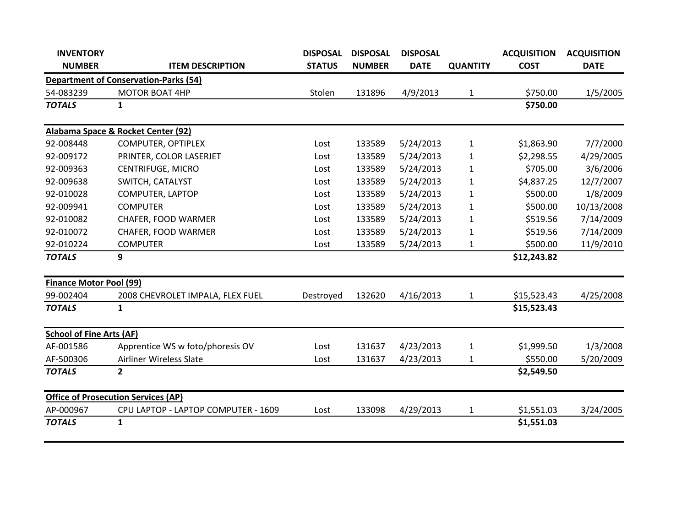| <b>INVENTORY</b>                |                                              | <b>DISPOSAL</b> | <b>DISPOSAL</b> | <b>DISPOSAL</b> |                 | <b>ACQUISITION</b> | <b>ACQUISITION</b> |
|---------------------------------|----------------------------------------------|-----------------|-----------------|-----------------|-----------------|--------------------|--------------------|
| <b>NUMBER</b>                   | <b>ITEM DESCRIPTION</b>                      | <b>STATUS</b>   | <b>NUMBER</b>   | <b>DATE</b>     | <b>QUANTITY</b> | <b>COST</b>        | <b>DATE</b>        |
|                                 | <b>Department of Conservation-Parks (54)</b> |                 |                 |                 |                 |                    |                    |
| 54-083239                       | <b>MOTOR BOAT 4HP</b>                        | Stolen          | 131896          | 4/9/2013        | $\mathbf{1}$    | \$750.00           | 1/5/2005           |
| <b>TOTALS</b>                   | 1                                            |                 |                 |                 |                 | \$750.00           |                    |
|                                 | Alabama Space & Rocket Center (92)           |                 |                 |                 |                 |                    |                    |
| 92-008448                       | <b>COMPUTER, OPTIPLEX</b>                    | Lost            | 133589          | 5/24/2013       | 1               | \$1,863.90         | 7/7/2000           |
| 92-009172                       | PRINTER, COLOR LASERJET                      | Lost            | 133589          | 5/24/2013       | $\mathbf{1}$    | \$2,298.55         | 4/29/2005          |
| 92-009363                       | <b>CENTRIFUGE, MICRO</b>                     | Lost            | 133589          | 5/24/2013       | $\mathbf{1}$    | \$705.00           | 3/6/2006           |
| 92-009638                       | SWITCH, CATALYST                             | Lost            | 133589          | 5/24/2013       | $\mathbf{1}$    | \$4,837.25         | 12/7/2007          |
| 92-010028                       | COMPUTER, LAPTOP                             | Lost            | 133589          | 5/24/2013       | 1               | \$500.00           | 1/8/2009           |
| 92-009941                       | <b>COMPUTER</b>                              | Lost            | 133589          | 5/24/2013       | $\mathbf{1}$    | \$500.00           | 10/13/2008         |
| 92-010082                       | CHAFER, FOOD WARMER                          | Lost            | 133589          | 5/24/2013       | $\mathbf{1}$    | \$519.56           | 7/14/2009          |
| 92-010072                       | CHAFER, FOOD WARMER                          | Lost            | 133589          | 5/24/2013       | 1               | \$519.56           | 7/14/2009          |
| 92-010224                       | <b>COMPUTER</b>                              | Lost            | 133589          | 5/24/2013       | 1               | \$500.00           | 11/9/2010          |
| <b>TOTALS</b>                   | 9                                            |                 |                 |                 |                 | \$12,243.82        |                    |
| <b>Finance Motor Pool (99)</b>  |                                              |                 |                 |                 |                 |                    |                    |
| 99-002404                       | 2008 CHEVROLET IMPALA, FLEX FUEL             | Destroyed       | 132620          | 4/16/2013       | $\mathbf{1}$    | \$15,523.43        | 4/25/2008          |
| <b>TOTALS</b>                   | $\mathbf{1}$                                 |                 |                 |                 |                 | \$15,523.43        |                    |
| <b>School of Fine Arts (AF)</b> |                                              |                 |                 |                 |                 |                    |                    |
| AF-001586                       | Apprentice WS w foto/phoresis OV             | Lost            | 131637          | 4/23/2013       | 1               | \$1,999.50         | 1/3/2008           |
| AF-500306                       | <b>Airliner Wireless Slate</b>               | Lost            | 131637          | 4/23/2013       | 1               | \$550.00           | 5/20/2009          |
| <b>TOTALS</b>                   | $\overline{2}$                               |                 |                 |                 |                 | \$2,549.50         |                    |
|                                 | <b>Office of Prosecution Services (AP)</b>   |                 |                 |                 |                 |                    |                    |
| AP-000967                       | CPU LAPTOP - LAPTOP COMPUTER - 1609          | Lost            | 133098          | 4/29/2013       | 1               | \$1,551.03         | 3/24/2005          |
| <b>TOTALS</b>                   | 1                                            |                 |                 |                 |                 | \$1,551.03         |                    |